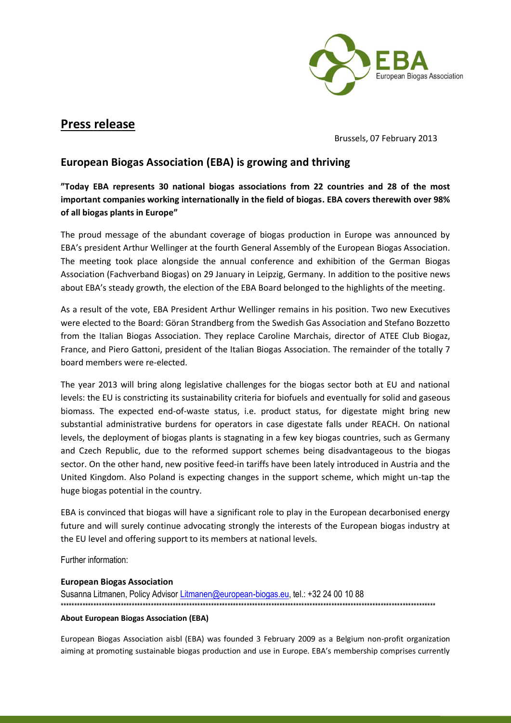

## **Press release**

Brussels, 07 February 2013

## **European Biogas Association (EBA) is growing and thriving**

**"Today EBA represents 30 national biogas associations from 22 countries and 28 of the most important companies working internationally in the field of biogas. EBA covers therewith over 98% of all biogas plants in Europe"**

The proud message of the abundant coverage of biogas production in Europe was announced by EBA's president Arthur Wellinger at the fourth General Assembly of the European Biogas Association. The meeting took place alongside the annual conference and exhibition of the German Biogas Association (Fachverband Biogas) on 29 January in Leipzig, Germany. In addition to the positive news about EBA's steady growth, the election of the EBA Board belonged to the highlights of the meeting.

As a result of the vote, EBA President Arthur Wellinger remains in his position. Two new Executives were elected to the Board: Göran Strandberg from the Swedish Gas Association and Stefano Bozzetto from the Italian Biogas Association. They replace Caroline Marchais, director of ATEE Club Biogaz, France, and Piero Gattoni, president of the Italian Biogas Association. The remainder of the totally 7 board members were re-elected.

The year 2013 will bring along legislative challenges for the biogas sector both at EU and national levels: the EU is constricting its sustainability criteria for biofuels and eventually for solid and gaseous biomass. The expected end-of-waste status, i.e. product status, for digestate might bring new substantial administrative burdens for operators in case digestate falls under REACH. On national levels, the deployment of biogas plants is stagnating in a few key biogas countries, such as Germany and Czech Republic, due to the reformed support schemes being disadvantageous to the biogas sector. On the other hand, new positive feed-in tariffs have been lately introduced in Austria and the United Kingdom. Also Poland is expecting changes in the support scheme, which might un-tap the huge biogas potential in the country.

EBA is convinced that biogas will have a significant role to play in the European decarbonised energy future and will surely continue advocating strongly the interests of the European biogas industry at the EU level and offering support to its members at national levels.

Further information:

## **European Biogas Association**

Susanna Litmanen, Policy Advisor [Litmanen@european-biogas.eu,](mailto:Litmanen@european-biogas.eu) tel.: +32 24 00 10 88 \*\*\*\*\*\*\*\*\*\*\*\*\*\*\*\*\*\*\*\*\*\*\*\*\*\*\*\*\*\*\*\*\*\*\*\*\*\*\*\*\*\*\*\*\*\*\*\*\*\*\*\*\*\*\*\*\*\*\*\*\*\*\*\*\*\*\*\*\*\*\*\*\*\*\*\*\*\*\*\*\*\*\*\*\*\*\*\*\*\*\*\*\*\*\*\*\*\*\*\*\*\*\*\*\*\*\*\*\*\*\*\*\*\*\*\*\*\*\*\*\*\*\*\*\*\*\*\*\*\*\*\*\*\*\*\*\*

## **About European Biogas Association (EBA)**

European Biogas Association aisbl (EBA) was founded 3 February 2009 as a Belgium non-profit organization aiming at promoting sustainable biogas production and use in Europe. EBA's membership comprises currently